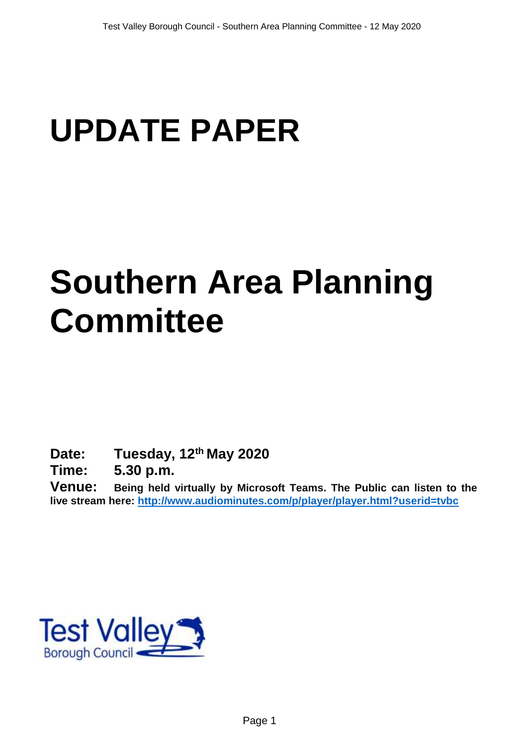# **UPDATE PAPER**

# **Southern Area Planning Committee**

**Date: Tuesday, 12th May 2020**

**Time: 5.30 p.m.**

**Venue: Being held virtually by Microsoft Teams. The Public can listen to the live stream here:<http://www.audiominutes.com/p/player/player.html?userid=tvbc>**

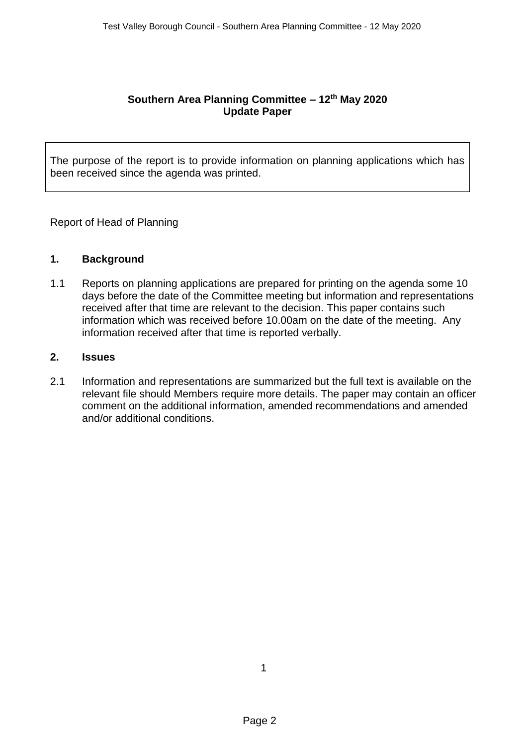## **Southern Area Planning Committee – 12th May 2020 Update Paper**

The purpose of the report is to provide information on planning applications which has been received since the agenda was printed.

Report of Head of Planning

## **1. Background**

1.1 Reports on planning applications are prepared for printing on the agenda some 10 days before the date of the Committee meeting but information and representations received after that time are relevant to the decision. This paper contains such information which was received before 10.00am on the date of the meeting. Any information received after that time is reported verbally.

## **2. Issues**

2.1 Information and representations are summarized but the full text is available on the relevant file should Members require more details. The paper may contain an officer comment on the additional information, amended recommendations and amended and/or additional conditions.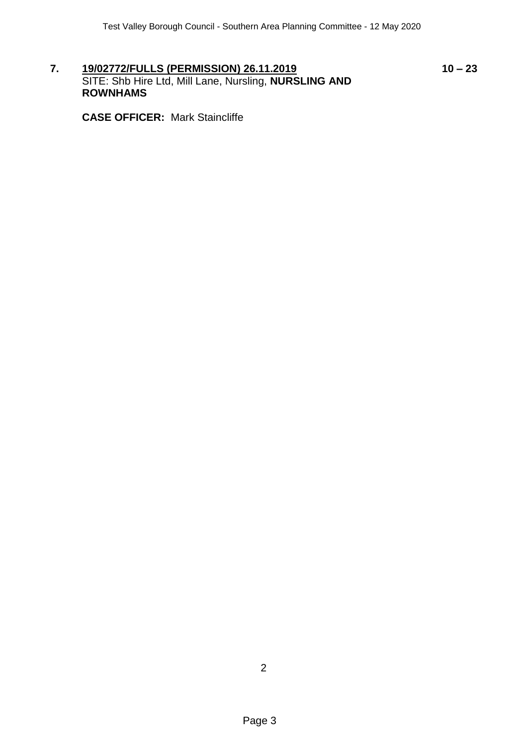**7. 19/02772/FULLS (PERMISSION) 26.11.2019 10 – 23** SITE: Shb Hire Ltd, Mill Lane, Nursling, **NURSLING AND ROWNHAMS**

**CASE OFFICER:** Mark Staincliffe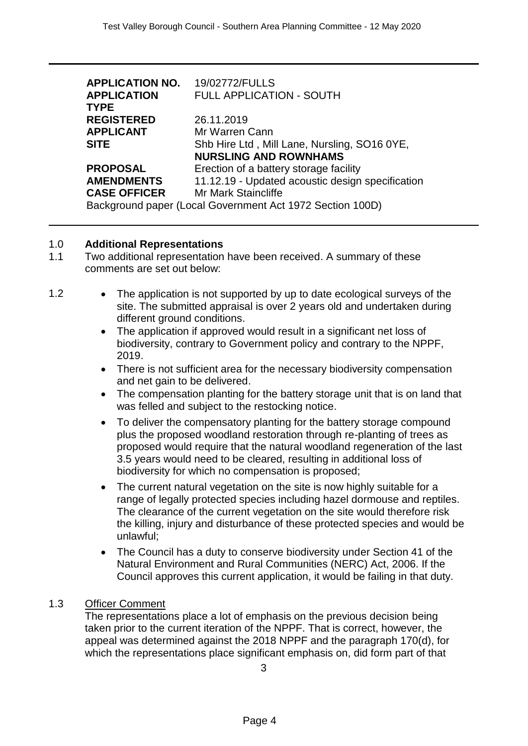| <b>APPLICATION NO.</b>                                    | 19/02772/FULLS                                   |
|-----------------------------------------------------------|--------------------------------------------------|
| <b>APPLICATION</b>                                        | <b>FULL APPLICATION - SOUTH</b>                  |
| <b>TYPE</b>                                               |                                                  |
| <b>REGISTERED</b>                                         | 26.11.2019                                       |
| APPLICANT                                                 | Mr Warren Cann                                   |
| <b>SITE</b>                                               | Shb Hire Ltd, Mill Lane, Nursling, SO16 0YE,     |
|                                                           | <b>NURSLING AND ROWNHAMS</b>                     |
| PROPOSAL                                                  | Erection of a battery storage facility           |
| <b>AMENDMENTS</b>                                         | 11.12.19 - Updated acoustic design specification |
| <b>CASE OFFICER</b>                                       | <b>Mr Mark Staincliffe</b>                       |
| Background paper (Local Government Act 1972 Section 100D) |                                                  |

#### 1.0 **Additional Representations**

- 1.1 Two additional representation have been received. A summary of these comments are set out below:
- 1.2 The application is not supported by up to date ecological surveys of the site. The submitted appraisal is over 2 years old and undertaken during different ground conditions.
	- The application if approved would result in a significant net loss of biodiversity, contrary to Government policy and contrary to the NPPF, 2019.
	- There is not sufficient area for the necessary biodiversity compensation and net gain to be delivered.
	- The compensation planting for the battery storage unit that is on land that was felled and subject to the restocking notice.
	- To deliver the compensatory planting for the battery storage compound plus the proposed woodland restoration through re-planting of trees as proposed would require that the natural woodland regeneration of the last 3.5 years would need to be cleared, resulting in additional loss of biodiversity for which no compensation is proposed;
	- The current natural vegetation on the site is now highly suitable for a range of legally protected species including hazel dormouse and reptiles. The clearance of the current vegetation on the site would therefore risk the killing, injury and disturbance of these protected species and would be unlawful;
	- The Council has a duty to conserve biodiversity under Section 41 of the Natural Environment and Rural Communities (NERC) Act, 2006. If the Council approves this current application, it would be failing in that duty.

## 1.3 Officer Comment

The representations place a lot of emphasis on the previous decision being taken prior to the current iteration of the NPPF. That is correct, however, the appeal was determined against the 2018 NPPF and the paragraph 170(d), for which the representations place significant emphasis on, did form part of that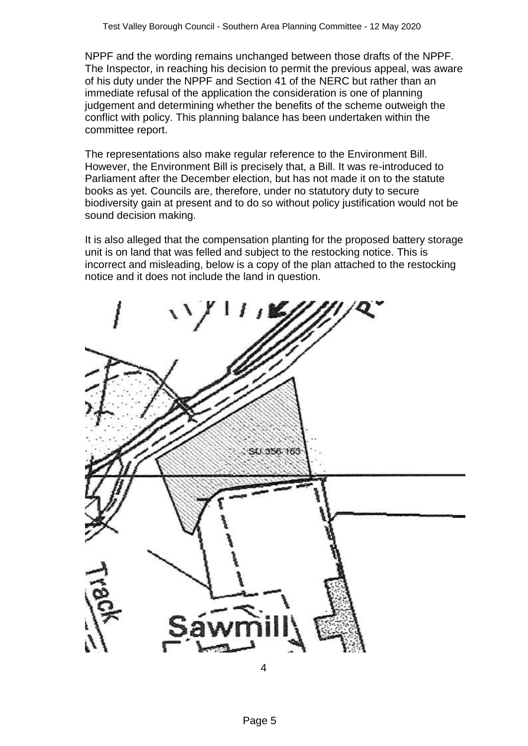NPPF and the wording remains unchanged between those drafts of the NPPF. The Inspector, in reaching his decision to permit the previous appeal, was aware of his duty under the NPPF and Section 41 of the NERC but rather than an immediate refusal of the application the consideration is one of planning judgement and determining whether the benefits of the scheme outweigh the conflict with policy. This planning balance has been undertaken within the committee report.

The representations also make regular reference to the Environment Bill. However, the Environment Bill is precisely that, a Bill. It was re-introduced to Parliament after the December election, but has not made it on to the statute books as yet. Councils are, therefore, under no statutory duty to secure biodiversity gain at present and to do so without policy justification would not be sound decision making.

It is also alleged that the compensation planting for the proposed battery storage unit is on land that was felled and subject to the restocking notice. This is incorrect and misleading, below is a copy of the plan attached to the restocking notice and it does not include the land in question.